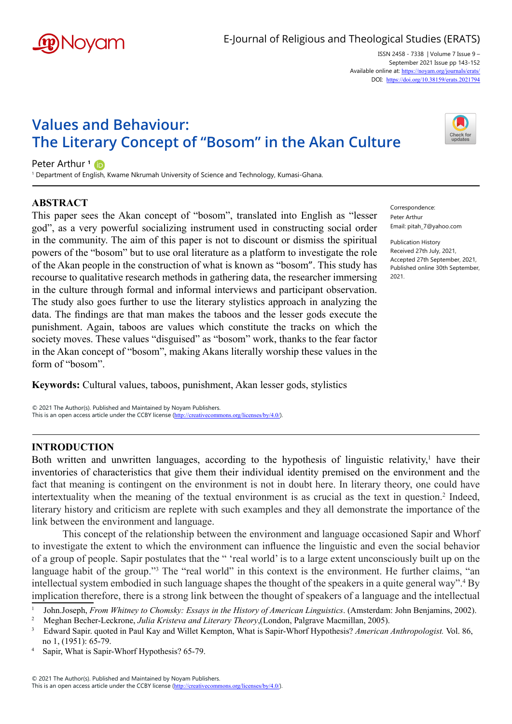

ISSN 2458 - 7338 | Volume 7 Issue 9 – September 2021 Issue pp 143-152 Available online at: <https://noyam.org/journals/erats/> DOI: [https://doi.org/10.38159/erats.20217](https://doi.org/10.38159/erats.2021794)94

# **Values and Behaviour: The Literary Concept of "Bosom" in the Akan Culture**

Peter Arthur<sup>1</sup>

<sup>1</sup> Department of En[glish,](https://orcid.org/0000-0002-6249-5841) Kwame Nkrumah University of Science and Technology, Kumasi-Ghana.

## **ABSTRACT**

This paper sees the Akan concept of "bosom", translated into English as "lesser god", as a very powerful socializing instrument used in constructing social order in the community. The aim of this paper is not to discount or dismiss the spiritual powers of the "bosom" but to use oral literature as a platform to investigate the role of the Akan people in the construction of what is known as "bosom". This study has recourse to qualitative research methods in gathering data, the researcher immersing in the culture through formal and informal interviews and participant observation. The study also goes further to use the literary stylistics approach in analyzing the data. The findings are that man makes the taboos and the lesser gods execute the punishment. Again, taboos are values which constitute the tracks on which the society moves. These values "disguised" as "bosom" work, thanks to the fear factor in the Akan concept of "bosom", making Akans literally worship these values in the form of "bosom".

**Keywords:** Cultural values, taboos, punishment, Akan lesser gods, stylistics

© 2021 The Author(s). Published and Maintained by Noyam Publishers. This is an open access article under the CCBY license (<http://creativecommons.org/licenses/by/4.0/>).

#### **INTRODUCTION**

Both written and unwritten languages, according to the hypothesis of linguistic relativity,<sup>1</sup> have their inventories of characteristics that give them their individual identity premised on the environment and the fact that meaning is contingent on the environment is not in doubt here. In literary theory, one could have intertextuality when the meaning of the textual environment is as crucial as the text in question.<sup>2</sup> Indeed, literary history and criticism are replete with such examples and they all demonstrate the importance of the link between the environment and language.

This concept of the relationship between the environment and language occasioned Sapir and Whorf to investigate the extent to which the environment can influence the linguistic and even the social behavior of a group of people. Sapir postulates that the " 'real world' is to a large extent unconsciously built up on the language habit of the group."<sup>3</sup> The "real world" in this context is the environment. He further claims, "an intellectual system embodied in such language shapes the thought of the speakers in a quite general way".<sup>4</sup> By implication therefore, there is a strong link between the thought of speakers of a language and the intellectual

4 Sapir, What is Sapir-Whorf Hypothesis? 65-79.



Correspondence: Peter Arthur Email: pitah\_7@yahoo.com

Publication History Received 27th July, 2021, Accepted 27th September, 2021, Published online 30th September, 2021.

<sup>1</sup> John.Joseph, *From Whitney to Chomsky: Essays in the History of American Linguistics*. (Amsterdam: John Benjamins, 2002).

<sup>&</sup>lt;sup>2</sup> Meghan Becher-Leckrone, Julia Kristeva and Literary Theory, (London, Palgrave Macmillan, 2005).<br><sup>3</sup> Edward Sapir. quoted in Paul Kay and Willet Kempton, What is Sapir-Whorf Hypothesis? American Anthropologist. Vol. 86, no 1, (1951): 65-79.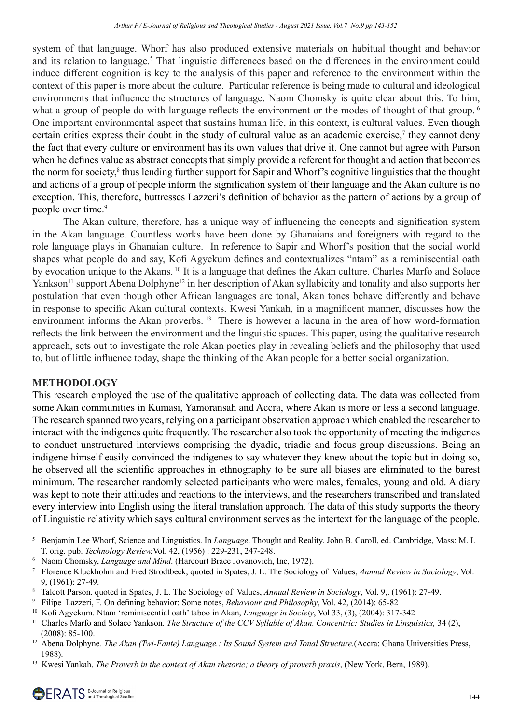system of that language. Whorf has also produced extensive materials on habitual thought and behavior and its relation to language.<sup>5</sup> That linguistic differences based on the differences in the environment could induce different cognition is key to the analysis of this paper and reference to the environment within the context of this paper is more about the culture. Particular reference is being made to cultural and ideological environments that influence the structures of language. Naom Chomsky is quite clear about this. To him, what a group of people do with language reflects the environment or the modes of thought of that group.<sup>6</sup> One important environmental aspect that sustains human life, in this context, is cultural values. Even though certain critics express their doubt in the study of cultural value as an academic exercise,<sup>7</sup> they cannot deny the fact that every culture or environment has its own values that drive it. One cannot but agree with Parson when he defines value as abstract concepts that simply provide a referent for thought and action that becomes the norm for society,<sup>8</sup> thus lending further support for Sapir and Whorf's cognitive linguistics that the thought and actions of a group of people inform the signification system of their language and the Akan culture is no exception. This, therefore, buttresses Lazzeri's definition of behavior as the pattern of actions by a group of people over time.<sup>9</sup>

The Akan culture, therefore, has a unique way of influencing the concepts and signification system in the Akan language. Countless works have been done by Ghanaians and foreigners with regard to the role language plays in Ghanaian culture. In reference to Sapir and Whorf's position that the social world shapes what people do and say, Kofi Agyekum defines and contextualizes "ntam" as a reminiscential oath by evocation unique to the Akans. <sup>10</sup> It is a language that defines the Akan culture. Charles Marfo and Solace Yankson<sup>11</sup> support Abena Dolphyne<sup>12</sup> in her description of Akan syllabicity and tonality and also supports her postulation that even though other African languages are tonal, Akan tones behave differently and behave in response to specific Akan cultural contexts. Kwesi Yankah, in a magnificent manner, discusses how the environment informs the Akan proverbs. <sup>13</sup> There is however a lacuna in the area of how word-formation reflects the link between the environment and the linguistic spaces. This paper, using the qualitative research approach, sets out to investigate the role Akan poetics play in revealing beliefs and the philosophy that used to, but of little influence today, shape the thinking of the Akan people for a better social organization.

## **METHODOLOGY**

This research employed the use of the qualitative approach of collecting data. The data was collected from some Akan communities in Kumasi, Yamoransah and Accra, where Akan is more or less a second language. The research spanned two years, relying on a participant observation approach which enabled the researcher to interact with the indigenes quite frequently. The researcher also took the opportunity of meeting the indigenes to conduct unstructured interviews comprising the dyadic, triadic and focus group discussions. Being an indigene himself easily convinced the indigenes to say whatever they knew about the topic but in doing so, he observed all the scientific approaches in ethnography to be sure all biases are eliminated to the barest minimum. The researcher randomly selected participants who were males, females, young and old. A diary was kept to note their attitudes and reactions to the interviews, and the researchers transcribed and translated every interview into English using the literal translation approach. The data of this study supports the theory of Linguistic relativity which says cultural environment serves as the intertext for the language of the people.

<sup>5</sup> Benjamin Lee Whorf, Science and Linguistics. In *Language*. Thought and Reality. John B. Caroll, ed. Cambridge, Mass: M. I. T. orig. pub. *Technology Review.*Vol. 42, (1956) : 229-231, 247-248.

<sup>6</sup> Naom Chomsky, *Language and Mind*. (Harcourt Brace Jovanovich, Inc, 1972).

<sup>7</sup> Florence Kluckhohm and Fred Strodtbeck, quoted in Spates, J. L. The Sociology of Values, *Annual Review in Sociology*, Vol. 9, (1961): 27-49.

<sup>8</sup> Talcott Parson. quoted in Spates, J. L. The Sociology of Values, *Annual Review in Sociology*, Vol. 9,. (1961): 27-49.

<sup>&</sup>lt;sup>9</sup> Filipe Lazzeri, F. On defining behavior: Some notes, Behaviour and Philosophy, Vol. 42, (2014): 65-82

<sup>&</sup>lt;sup>10</sup> Kofi Agyekum. Ntam 'reminiscential oath' taboo in Akan, *Language in Society*, Vol 33, (3), (2004): 317-342

<sup>11</sup> Charles Marfo and Solace Yankson. *The Structure of the CCV Syllable of Akan. Concentric: Studies in Linguistics,* 34 (2), (2008): 85-100.

<sup>&</sup>lt;sup>12</sup> Abena Dolphyne. *The Akan (Twi-Fante) Language.: Its Sound System and Tonal Structure.*(Accra: Ghana Universities Press, 1988).

<sup>13</sup> Kwesi Yankah. *The Proverb in the context of Akan rhetoric; a theory of proverb praxis*, (New York, Bern, 1989).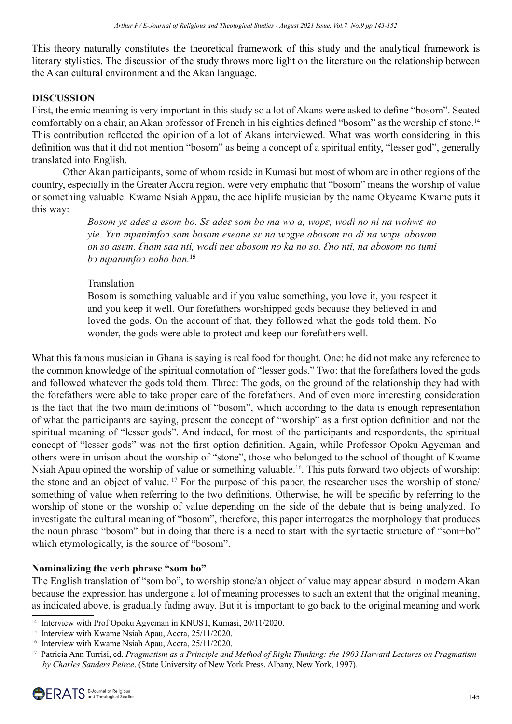This theory naturally constitutes the theoretical framework of this study and the analytical framework is literary stylistics. The discussion of the study throws more light on the literature on the relationship between the Akan cultural environment and the Akan language.

#### **DISCUSSION**

First, the emic meaning is very important in this study so a lot of Akans were asked to define "bosom". Seated comfortably on a chair, an Akan professor of French in his eighties defined "bosom" as the worship of stone.<sup>14</sup> This contribution reflected the opinion of a lot of Akans interviewed. What was worth considering in this definition was that it did not mention "bosom" as being a concept of a spiritual entity, "lesser god", generally translated into English.

Other Akan participants, some of whom reside in Kumasi but most of whom are in other regions of the country, especially in the Greater Accra region, were very emphatic that "bosom" means the worship of value or something valuable. Kwame Nsiah Appau, the ace hiplife musician by the name Okyeame Kwame puts it this way:

> *Bosom yε adeɛ a esom bo. Sɛ adeɛ som bo ma wo a, wopɛ, wodi no ni na wohwɛ no yie. Yԑn mpanimfoͻ som bosom eseane sԑ na wͻgye abosom no di na wͻpԑ abosom on so asԑm. Ԑnam saa nti, wodi neԑ abosom no ka no so. Ԑno nti, na abosom no tumi bͻ mpanimfoͻ noho ban.***<sup>15</sup>**

#### Translation

Bosom is something valuable and if you value something, you love it, you respect it and you keep it well. Our forefathers worshipped gods because they believed in and loved the gods. On the account of that, they followed what the gods told them. No wonder, the gods were able to protect and keep our forefathers well.

What this famous musician in Ghana is saying is real food for thought. One: he did not make any reference to the common knowledge of the spiritual connotation of "lesser gods." Two: that the forefathers loved the gods and followed whatever the gods told them. Three: The gods, on the ground of the relationship they had with the forefathers were able to take proper care of the forefathers. And of even more interesting consideration is the fact that the two main definitions of "bosom", which according to the data is enough representation of what the participants are saying, present the concept of "worship" as a first option definition and not the spiritual meaning of "lesser gods". And indeed, for most of the participants and respondents, the spiritual concept of "lesser gods" was not the first option definition. Again, while Professor Opoku Agyeman and others were in unison about the worship of "stone", those who belonged to the school of thought of Kwame Nsiah Apau opined the worship of value or something valuable.16. This puts forward two objects of worship: the stone and an object of value. 17 For the purpose of this paper, the researcher uses the worship of stone/ something of value when referring to the two definitions. Otherwise, he will be specific by referring to the worship of stone or the worship of value depending on the side of the debate that is being analyzed. To investigate the cultural meaning of "bosom", therefore, this paper interrogates the morphology that produces the noun phrase "bosom" but in doing that there is a need to start with the syntactic structure of "som+bo" which etymologically, is the source of "bosom".

## **Nominalizing the verb phrase "som bo"**

The English translation of "som bo", to worship stone/an object of value may appear absurd in modern Akan because the expression has undergone a lot of meaning processes to such an extent that the original meaning, as indicated above, is gradually fading away. But it is important to go back to the original meaning and work

<sup>&</sup>lt;sup>14</sup> Interview with Prof Opoku Agyeman in KNUST, Kumasi, 20/11/2020.

<sup>&</sup>lt;sup>15</sup> Interview with Kwame Nsiah Apau, Accra, 25/11/2020.

<sup>&</sup>lt;sup>16</sup> Interview with Kwame Nsiah Apau, Accra, 25/11/2020.

<sup>17</sup> Patricia Ann Turrisi, ed. *Pragmatism as a Principle and Method of Right Thinking: the 1903 Harvard Lectures on Pragmatism by Charles Sanders Peirce*. (State University of New York Press, Albany, New York, 1997).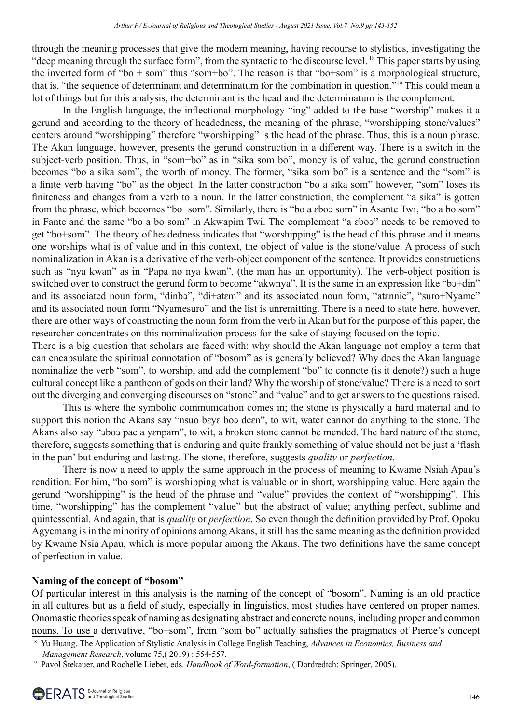through the meaning processes that give the modern meaning, having recourse to stylistics, investigating the "deep meaning through the surface form", from the syntactic to the discourse level. 18 This paper starts by using the inverted form of "bo + som" thus "som+bo". The reason is that "bo+som" is a morphological structure, that is, "the sequence of determinant and determinatum for the combination in question."19 This could mean a lot of things but for this analysis, the determinant is the head and the determinatum is the complement.

In the English language, the inflectional morphology "ing" added to the base "worship" makes it a gerund and according to the theory of headedness, the meaning of the phrase, "worshipping stone/values" centers around "worshipping" therefore "worshipping" is the head of the phrase. Thus, this is a noun phrase. The Akan language, however, presents the gerund construction in a different way. There is a switch in the subject-verb position. Thus, in "som+bo" as in "sika som bo", money is of value, the gerund construction becomes "bo a sika som", the worth of money. The former, "sika som bo" is a sentence and the "som" is a finite verb having "bo" as the object. In the latter construction "bo a sika som" however, "som" loses its finiteness and changes from a verb to a noun. In the latter construction, the complement "a sika" is gotten from the phrase, which becomes "bo+som". Similarly, there is "bo a ɛboɔ som" in Asante Twi, "bo a bo som" in Fante and the same "bo a bo som" in Akwapim Twi. The complement "a εboο" needs to be removed to get "bo+som". The theory of headedness indicates that "worshipping" is the head of this phrase and it means one worships what is of value and in this context, the object of value is the stone/value. A process of such nominalization in Akan is a derivative of the verb-object component of the sentence. It provides constructions such as "nya kwan" as in "Papa no nya kwan", (the man has an opportunity). The verb-object position is switched over to construct the gerund form to become "akwnya". It is the same in an expression like "b 
b + din" and its associated noun form, "dinbɔ", "di+atɛm" and its associated noun form, "atɛnnie", "suro+Nyame" and its associated noun form "Nyamesuro" and the list is unremitting. There is a need to state here, however, there are other ways of constructing the noun form from the verb in Akan but for the purpose of this paper, the researcher concentrates on this nominalization process for the sake of staying focused on the topic.

There is a big question that scholars are faced with: why should the Akan language not employ a term that can encapsulate the spiritual connotation of "bosom" as is generally believed? Why does the Akan language nominalize the verb "som", to worship, and add the complement "bo" to connote (is it denote?) such a huge cultural concept like a pantheon of gods on their land? Why the worship of stone/value? There is a need to sort out the diverging and converging discourses on "stone" and "value" and to get answers to the questions raised.

This is where the symbolic communication comes in; the stone is physically a hard material and to support this notion the Akans say "nsuo bεγε boo deεn", to wit, water cannot do anything to the stone. The Akans also say "oboo pae a yɛnpam", to wit, a broken stone cannot be mended. The hard nature of the stone, therefore, suggests something that is enduring and quite frankly something of value should not be just a 'flash in the pan' but enduring and lasting. The stone, therefore, suggests *quality* or *perfection*.

There is now a need to apply the same approach in the process of meaning to Kwame Nsiah Apau's rendition. For him, "bo som" is worshipping what is valuable or in short, worshipping value. Here again the gerund "worshipping" is the head of the phrase and "value" provides the context of "worshipping". This time, "worshipping" has the complement "value" but the abstract of value; anything perfect, sublime and quintessential. And again, that is *quality* or *perfection*. So even though the definition provided by Prof. Opoku Agyemang is in the minority of opinions among Akans, it still has the same meaning as the definition provided by Kwame Nsia Apau, which is more popular among the Akans. The two definitions have the same concept of perfection in value.

# **Naming of the concept of "bosom"**

Of particular interest in this analysis is the naming of the concept of "bosom". Naming is an old practice in all cultures but as a field of study, especially in linguistics, most studies have centered on proper names. Onomastic theories speak of naming as designating abstract and concrete nouns, including proper and common nouns. To use a derivative, "bo+som", from "som bo" actually satisfies the pragmatics of Pierce's concept

<sup>18</sup> Yu Huang. The Application of Stylistic Analysis in College English Teaching, *Advances in Economics, Business and Management Research*, volume 75,( 2019) : 554-557.

<sup>&</sup>lt;sup>19</sup> Pavol Štekauer, and Rochelle Lieber, eds. *Handbook of Word-formation*, (Dordredtch: Springer, 2005).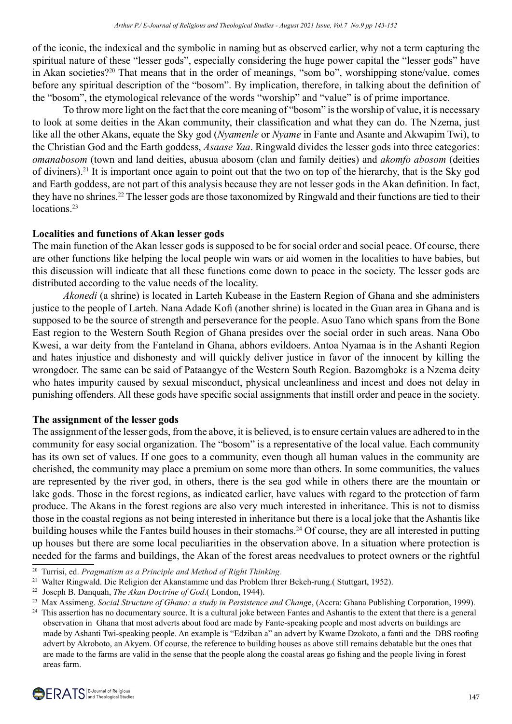of the iconic, the indexical and the symbolic in naming but as observed earlier, why not a term capturing the spiritual nature of these "lesser gods", especially considering the huge power capital the "lesser gods" have in Akan societies?<sup>20</sup> That means that in the order of meanings, "som bo", worshipping stone/value, comes before any spiritual description of the "bosom". By implication, therefore, in talking about the definition of the "bosom", the etymological relevance of the words "worship" and "value" is of prime importance.

To throw more light on the fact that the core meaning of "bosom" is the worship of value, it is necessary to look at some deities in the Akan community, their classification and what they can do. The Nzema, just like all the other Akans, equate the Sky god (*Nyamenle* or *Nyame* in Fante and Asante and Akwapim Twi), to the Christian God and the Earth goddess, *Asaase Yaa*. Ringwald divides the lesser gods into three categories: *omanabosom* (town and land deities, abusua abosom (clan and family deities) and *akomfo abosom* (deities of diviners).21 It is important once again to point out that the two on top of the hierarchy, that is the Sky god and Earth goddess, are not part of this analysis because they are not lesser gods in the Akan definition. In fact, they have no shrines.22 The lesser gods are those taxonomized by Ringwald and their functions are tied to their locations<sup>23</sup>

## **Localities and functions of Akan lesser gods**

The main function of the Akan lesser gods is supposed to be for social order and social peace. Of course, there are other functions like helping the local people win wars or aid women in the localities to have babies, but this discussion will indicate that all these functions come down to peace in the society. The lesser gods are distributed according to the value needs of the locality.

*Akonedi* (a shrine) is located in Larteh Kubease in the Eastern Region of Ghana and she administers justice to the people of Larteh. Nana Adade Kofi (another shrine) is located in the Guan area in Ghana and is supposed to be the source of strength and perseverance for the people. Asuo Tano which spans from the Bone East region to the Western South Region of Ghana presides over the social order in such areas. Nana Obo Kwesi, a war deity from the Fanteland in Ghana, abhors evildoers. Antoa Nyamaa is in the Ashanti Region and hates injustice and dishonesty and will quickly deliver justice in favor of the innocent by killing the wrongdoer. The same can be said of Pataangye of the Western South Region. Bazomgbɔkɛ is a Nzema deity who hates impurity caused by sexual misconduct, physical uncleanliness and incest and does not delay in punishing offenders. All these gods have specific social assignments that instill order and peace in the society.

## **The assignment of the lesser gods**

The assignment of the lesser gods, from the above, it is believed, is to ensure certain values are adhered to in the community for easy social organization. The "bosom" is a representative of the local value. Each community has its own set of values. If one goes to a community, even though all human values in the community are cherished, the community may place a premium on some more than others. In some communities, the values are represented by the river god, in others, there is the sea god while in others there are the mountain or lake gods. Those in the forest regions, as indicated earlier, have values with regard to the protection of farm produce. The Akans in the forest regions are also very much interested in inheritance. This is not to dismiss those in the coastal regions as not being interested in inheritance but there is a local joke that the Ashantis like building houses while the Fantes build houses in their stomachs.<sup>24</sup> Of course, they are all interested in putting up houses but there are some local peculiarities in the observation above. In a situation where protection is needed for the farms and buildings, the Akan of the forest areas needvalues to protect owners or the rightful

<sup>20</sup> Turrisi, ed. *Pragmatism as a Principle and Method of Right Thinking.*

<sup>21</sup> Walter Ringwald. Die Religion der Akanstamme und das Problem Ihrer Bekeh-rung.( Stuttgart, 1952).

<sup>22</sup>  Joseph B. Danquah, *The Akan Doctrine of God*.( London, 1944).

<sup>&</sup>lt;sup>23</sup> Max Assimeng. *Social Structure of Ghana: a study in Persistence and Change*, (Accra: Ghana Publishing Corporation, 1999).

<sup>&</sup>lt;sup>24</sup> This assertion has no documentary source. It is a cultural joke between Fantes and Ashantis to the extent that there is a general observation in Ghana that most adverts about food are made by Fante-speaking people and most adverts on buildings are made by Ashanti Twi-speaking people. An example is "Edziban a" an advert by Kwame Dzokoto, a fanti and the DBS roofing advert by Akroboto, an Akyem. Of course, the reference to building houses as above still remains debatable but the ones that are made to the farms are valid in the sense that the people along the coastal areas go fishing and the people living in forest areas farm.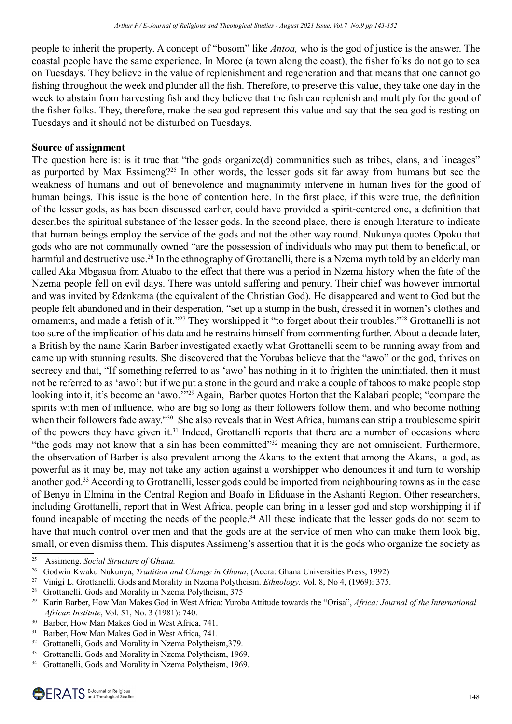people to inherit the property. A concept of "bosom" like *Antoa,* who is the god of justice is the answer. The coastal people have the same experience. In Moree (a town along the coast), the fisher folks do not go to sea on Tuesdays. They believe in the value of replenishment and regeneration and that means that one cannot go fishing throughout the week and plunder all the fish. Therefore, to preserve this value, they take one day in the week to abstain from harvesting fish and they believe that the fish can replenish and multiply for the good of the fisher folks. They, therefore, make the sea god represent this value and say that the sea god is resting on Tuesdays and it should not be disturbed on Tuesdays.

#### **Source of assignment**

The question here is: is it true that "the gods organize(d) communities such as tribes, clans, and lineages" as purported by Max Essimeng?25 In other words, the lesser gods sit far away from humans but see the weakness of humans and out of benevolence and magnanimity intervene in human lives for the good of human beings. This issue is the bone of contention here. In the first place, if this were true, the definition of the lesser gods, as has been discussed earlier, could have provided a spirit-centered one, a definition that describes the spiritual substance of the lesser gods. In the second place, there is enough literature to indicate that human beings employ the service of the gods and not the other way round. Nukunya quotes Opoku that gods who are not communally owned "are the possession of individuals who may put them to beneficial, or harmful and destructive use.<sup>26</sup> In the ethnography of Grottanelli, there is a Nzema myth told by an elderly man called Aka Mbgasua from Atuabo to the effect that there was a period in Nzema history when the fate of the Nzema people fell on evil days. There was untold suffering and penury. Their chief was however immortal and was invited by Edɛnkɛma (the equivalent of the Christian God). He disappeared and went to God but the people felt abandoned and in their desperation, "set up a stump in the bush, dressed it in women's clothes and ornaments, and made a fetish of it."27 They worshipped it "to forget about their troubles."28 Grottanelli is not too sure of the implication of his data and he restrains himself from commenting further. About a decade later, a British by the name Karin Barber investigated exactly what Grottanelli seem to be running away from and came up with stunning results. She discovered that the Yorubas believe that the "awo" or the god, thrives on secrecy and that, "If something referred to as 'awo' has nothing in it to frighten the uninitiated, then it must not be referred to as 'awo': but if we put a stone in the gourd and make a couple of taboos to make people stop looking into it, it's become an 'awo.'"<sup>29</sup> Again, Barber quotes Horton that the Kalabari people; "compare the spirits with men of influence, who are big so long as their followers follow them, and who become nothing when their followers fade away."<sup>30</sup> She also reveals that in West Africa, humans can strip a troublesome spirit of the powers they have given it.31 Indeed, Grottanelli reports that there are a number of occasions where "the gods may not know that a sin has been committed"<sup>32</sup> meaning they are not omniscient. Furthermore, the observation of Barber is also prevalent among the Akans to the extent that among the Akans, a god, as powerful as it may be, may not take any action against a worshipper who denounces it and turn to worship another god.33 According to Grottanelli, lesser gods could be imported from neighbouring towns as in the case of Benya in Elmina in the Central Region and Boafo in Efiduase in the Ashanti Region. Other researchers, including Grottanelli, report that in West Africa, people can bring in a lesser god and stop worshipping it if found incapable of meeting the needs of the people.34 All these indicate that the lesser gods do not seem to have that much control over men and that the gods are at the service of men who can make them look big, small, or even dismiss them. This disputes Assimeng's assertion that it is the gods who organize the society as

<sup>25</sup> Assimeng. *Social Structure of Ghana.*

<sup>26</sup> Godwin Kwaku Nukunya, *Tradition and Change in Ghana*, (Accra: Ghana Universities Press, 1992)

<sup>27</sup> Vinigi L. Grottanelli. Gods and Morality in Nzema Polytheism. *Ethnology*. Vol. 8, No 4, (1969): 375.

<sup>&</sup>lt;sup>28</sup> Grottanelli. Gods and Morality in Nzema Polytheism, 375

<sup>29</sup> Karin Barber, How Man Makes God in West Africa: Yuroba Attitude towards the "Orisa", *Africa: Journal of the International African Institute*, Vol. 51, No. 3 (1981): 740.

<sup>&</sup>lt;sup>30</sup> Barber, How Man Makes God in West Africa, 741.

<sup>&</sup>lt;sup>31</sup> Barber, How Man Makes God in West Africa, 741.

<sup>&</sup>lt;sup>32</sup> Grottanelli, Gods and Morality in Nzema Polytheism, 379.

<sup>&</sup>lt;sup>33</sup> Grottanelli, Gods and Morality in Nzema Polytheism, 1969.

<sup>&</sup>lt;sup>34</sup> Grottanelli, Gods and Morality in Nzema Polytheism, 1969.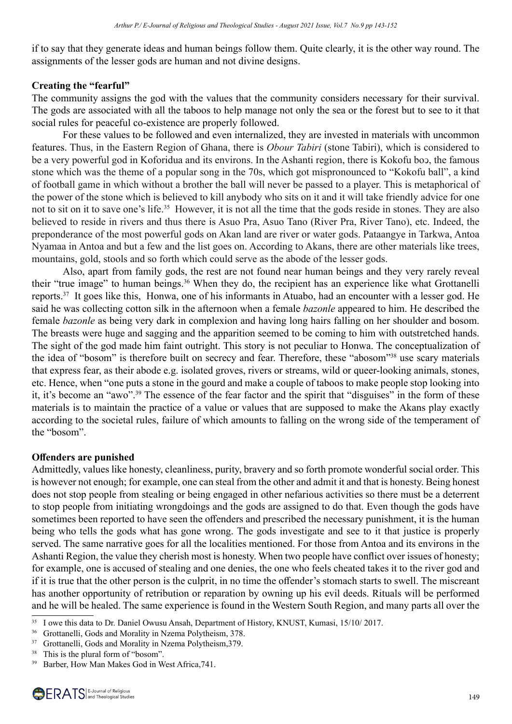if to say that they generate ideas and human beings follow them. Quite clearly, it is the other way round. The assignments of the lesser gods are human and not divine designs.

#### **Creating the "fearful"**

The community assigns the god with the values that the community considers necessary for their survival. The gods are associated with all the taboos to help manage not only the sea or the forest but to see to it that social rules for peaceful co-existence are properly followed.

For these values to be followed and even internalized, they are invested in materials with uncommon features. Thus, in the Eastern Region of Ghana, there is *Obour Tabiri* (stone Tabiri), which is considered to be a very powerful god in Koforidua and its environs. In the Ashanti region, there is Kokofu boɔ, the famous stone which was the theme of a popular song in the 70s, which got mispronounced to "Kokofu ball", a kind of football game in which without a brother the ball will never be passed to a player. This is metaphorical of the power of the stone which is believed to kill anybody who sits on it and it will take friendly advice for one not to sit on it to save one's life.<sup>35</sup> However, it is not all the time that the gods reside in stones. They are also believed to reside in rivers and thus there is Asuo Pra, Asuo Tano (River Pra, River Tano), etc. Indeed, the preponderance of the most powerful gods on Akan land are river or water gods. Pataangye in Tarkwa, Antoa Nyamaa in Antoa and but a few and the list goes on. According to Akans, there are other materials like trees, mountains, gold, stools and so forth which could serve as the abode of the lesser gods.

Also, apart from family gods, the rest are not found near human beings and they very rarely reveal their "true image" to human beings.36 When they do, the recipient has an experience like what Grottanelli reports.37 It goes like this, Honwa, one of his informants in Atuabo, had an encounter with a lesser god. He said he was collecting cotton silk in the afternoon when a female *bazonle* appeared to him. He described the female *bazonle* as being very dark in complexion and having long hairs falling on her shoulder and bosom. The breasts were huge and sagging and the apparition seemed to be coming to him with outstretched hands. The sight of the god made him faint outright. This story is not peculiar to Honwa. The conceptualization of the idea of "bosom" is therefore built on secrecy and fear. Therefore, these "abosom"38 use scary materials that express fear, as their abode e.g. isolated groves, rivers or streams, wild or queer-looking animals, stones, etc. Hence, when "one puts a stone in the gourd and make a couple of taboos to make people stop looking into it, it's become an "awo".39 The essence of the fear factor and the spirit that "disguises" in the form of these materials is to maintain the practice of a value or values that are supposed to make the Akans play exactly according to the societal rules, failure of which amounts to falling on the wrong side of the temperament of the "bosom".

## **Offenders are punished**

Admittedly, values like honesty, cleanliness, purity, bravery and so forth promote wonderful social order. This is however not enough; for example, one can steal from the other and admit it and that is honesty. Being honest does not stop people from stealing or being engaged in other nefarious activities so there must be a deterrent to stop people from initiating wrongdoings and the gods are assigned to do that. Even though the gods have sometimes been reported to have seen the offenders and prescribed the necessary punishment, it is the human being who tells the gods what has gone wrong. The gods investigate and see to it that justice is properly served. The same narrative goes for all the localities mentioned. For those from Antoa and its environs in the Ashanti Region, the value they cherish most is honesty. When two people have conflict over issues of honesty; for example, one is accused of stealing and one denies, the one who feels cheated takes it to the river god and if it is true that the other person is the culprit, in no time the offender's stomach starts to swell. The miscreant has another opportunity of retribution or reparation by owning up his evil deeds. Rituals will be performed and he will be healed. The same experience is found in the Western South Region, and many parts all over the

<sup>35</sup> I owe this data to Dr. Daniel Owusu Ansah, Department of History, KNUST, Kumasi, 15/10/ 2017.

<sup>&</sup>lt;sup>36</sup> Grottanelli, Gods and Morality in Nzema Polytheism, 378.

<sup>&</sup>lt;sup>37</sup> Grottanelli, Gods and Morality in Nzema Polytheism, 379.

<sup>&</sup>lt;sup>38</sup> This is the plural form of "bosom".

<sup>&</sup>lt;sup>39</sup> Barber, How Man Makes God in West Africa, 741.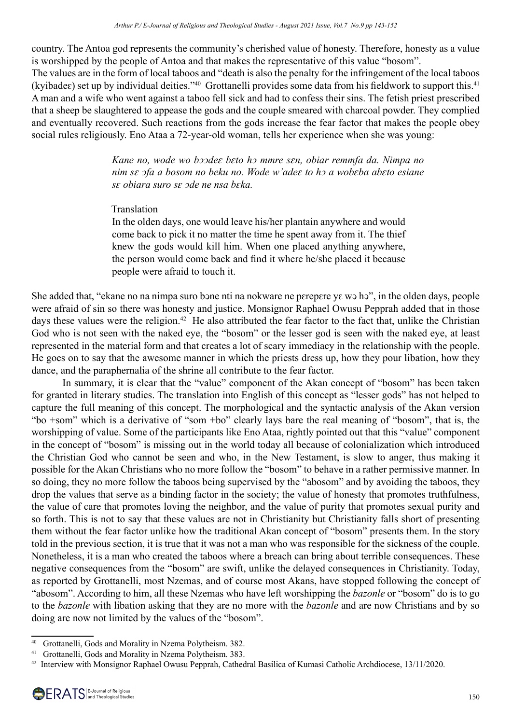country. The Antoa god represents the community's cherished value of honesty. Therefore, honesty as a value is worshipped by the people of Antoa and that makes the representative of this value "bosom". The values are in the form of local taboos and "death is also the penalty for the infringement of the local taboos (kyibade $\varepsilon$ ) set up by individual deities."<sup>40</sup> Grottanelli provides some data from his fieldwork to support this.<sup>41</sup> A man and a wife who went against a taboo fell sick and had to confess their sins. The fetish priest prescribed that a sheep be slaughtered to appease the gods and the couple smeared with charcoal powder. They complied and eventually recovered. Such reactions from the gods increase the fear factor that makes the people obey social rules religiously. Eno Ataa a 72-year-old woman, tells her experience when she was young:

> *Kane no, wode wo bͻͻdeԑ bԑto hͻ mmre sԑn, obiar remmfa da. Nimpa no nim sԑ ͻfa a bosom no beku no. Wode w'adeԑ to hͻ a wobԑba abԑto esiane sԑ obiara suro sԑ ͻde ne nsa bԑka.*

#### Translation

In the olden days, one would leave his/her plantain anywhere and would come back to pick it no matter the time he spent away from it. The thief knew the gods would kill him. When one placed anything anywhere, the person would come back and find it where he/she placed it because people were afraid to touch it.

She added that, "ekane no na nimpa suro bone nti na nokware ne pετερετε γε w n h σ", in the olden days, people were afraid of sin so there was honesty and justice. Monsignor Raphael Owusu Pepprah added that in those days these values were the religion.<sup>42</sup> He also attributed the fear factor to the fact that, unlike the Christian God who is not seen with the naked eye, the "bosom" or the lesser god is seen with the naked eye, at least represented in the material form and that creates a lot of scary immediacy in the relationship with the people. He goes on to say that the awesome manner in which the priests dress up, how they pour libation, how they dance, and the paraphernalia of the shrine all contribute to the fear factor.

In summary, it is clear that the "value" component of the Akan concept of "bosom" has been taken for granted in literary studies. The translation into English of this concept as "lesser gods" has not helped to capture the full meaning of this concept. The morphological and the syntactic analysis of the Akan version "bo +som" which is a derivative of "som +bo" clearly lays bare the real meaning of "bosom", that is, the worshipping of value. Some of the participants like Eno Ataa, rightly pointed out that this "value" component in the concept of "bosom" is missing out in the world today all because of colonialization which introduced the Christian God who cannot be seen and who, in the New Testament, is slow to anger, thus making it possible for the Akan Christians who no more follow the "bosom" to behave in a rather permissive manner. In so doing, they no more follow the taboos being supervised by the "abosom" and by avoiding the taboos, they drop the values that serve as a binding factor in the society; the value of honesty that promotes truthfulness, the value of care that promotes loving the neighbor, and the value of purity that promotes sexual purity and so forth. This is not to say that these values are not in Christianity but Christianity falls short of presenting them without the fear factor unlike how the traditional Akan concept of "bosom" presents them. In the story told in the previous section, it is true that it was not a man who was responsible for the sickness of the couple. Nonetheless, it is a man who created the taboos where a breach can bring about terrible consequences. These negative consequences from the "bosom" are swift, unlike the delayed consequences in Christianity. Today, as reported by Grottanelli, most Nzemas, and of course most Akans, have stopped following the concept of "abosom". According to him, all these Nzemas who have left worshipping the *bazonle* or "bosom" do is to go to the *bazonle* with libation asking that they are no more with the *bazonle* and are now Christians and by so doing are now not limited by the values of the "bosom".

<sup>40</sup> Grottanelli, Gods and Morality in Nzema Polytheism. 382.

<sup>41</sup> Grottanelli, Gods and Morality in Nzema Polytheism. 383.

<sup>42</sup> Interview with Monsignor Raphael Owusu Pepprah, Cathedral Basilica of Kumasi Catholic Archdiocese, 13/11/2020.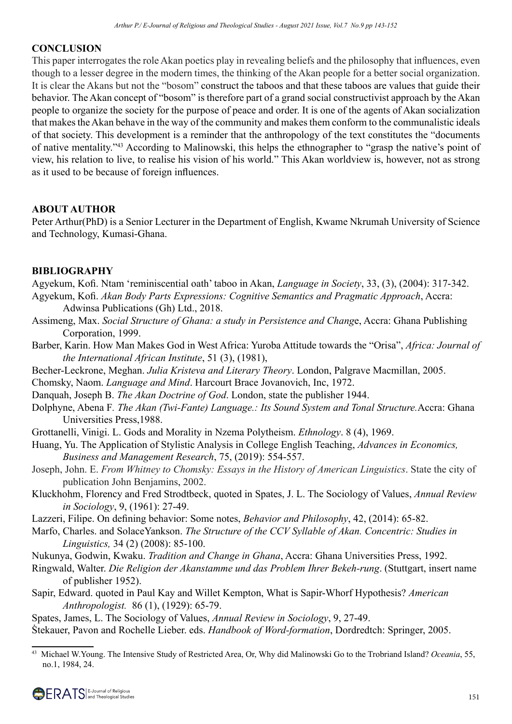## **CONCLUSION**

This paper interrogates the role Akan poetics play in revealing beliefs and the philosophy that influences, even though to a lesser degree in the modern times, the thinking of the Akan people for a better social organization. It is clear the Akans but not the "bosom" construct the taboos and that these taboos are values that guide their behavior. The Akan concept of "bosom" is therefore part of a grand social constructivist approach by the Akan people to organize the society for the purpose of peace and order. It is one of the agents of Akan socialization that makes the Akan behave in the way of the community and makes them conform to the communalistic ideals of that society. This development is a reminder that the anthropology of the text constitutes the "documents of native mentality."43 According to Malinowski, this helps the ethnographer to "grasp the native's point of view, his relation to live, to realise his vision of his world." This Akan worldview is, however, not as strong as it used to be because of foreign influences.

## **ABOUT AUTHOR**

Peter Arthur(PhD) is a Senior Lecturer in the Department of English, Kwame Nkrumah University of Science and Technology, Kumasi-Ghana.

## **BIBLIOGRAPHY**

Agyekum, Kofi. Ntam 'reminiscential oath' taboo in Akan, *Language in Society*, 33, (3), (2004): 317-342. Agyekum, Kofi. *Akan Body Parts Expressions: Cognitive Semantics and Pragmatic Approach*, Accra:

Adwinsa Publications (Gh) Ltd., 2018.

- Assimeng, Max. *Social Structure of Ghana: a study in Persistence and Chang*e, Accra: Ghana Publishing Corporation, 1999.
- Barber, Karin. How Man Makes God in West Africa: Yuroba Attitude towards the "Orisa", *Africa: Journal of the International African Institute*, 51 (3), (1981),
- Becher-Leckrone, Meghan. *Julia Kristeva and Literary Theory*. London, Palgrave Macmillan, 2005.

Chomsky, Naom. *Language and Mind*. Harcourt Brace Jovanovich, Inc, 1972.

Danquah, Joseph B. *The Akan Doctrine of God*. London, state the publisher 1944.

Dolphyne, Abena F*. The Akan (Twi-Fante) Language.: Its Sound System and Tonal Structure.*Accra: Ghana Universities Press,1988.

Grottanelli, Vinigi. L. Gods and Morality in Nzema Polytheism. *Ethnology*. 8 (4), 1969.

- Huang, Yu. The Application of Stylistic Analysis in College English Teaching, *Advances in Economics, Business and Management Research*, 75, (2019): 554-557.
- Joseph, John. E. *From Whitney to Chomsky: Essays in the History of American Linguistics*. State the city of publication John Benjamins, 2002.
- Kluckhohm, Florency and Fred Strodtbeck, quoted in Spates, J. L. The Sociology of Values, *Annual Review in Sociology*, 9, (1961): 27-49.
- Lazzeri, Filipe. On defining behavior: Some notes, *Behavior and Philosophy*, 42, (2014): 65-82.
- Marfo, Charles. and SolaceYankson. *The Structure of the CCV Syllable of Akan. Concentric: Studies in Linguistics,* 34 (2) (2008): 85-100.

Nukunya, Godwin, Kwaku. *Tradition and Change in Ghana*, Accra: Ghana Universities Press, 1992.

- Ringwald, Walter. *Die Religion der Akanstamme und das Problem Ihrer Bekeh-rung*. (Stuttgart, insert name of publisher 1952).
- Sapir, Edward. quoted in Paul Kay and Willet Kempton, What is Sapir-Whorf Hypothesis? *American Anthropologist.* 86 (1), (1929): 65-79.

Spates, James, L. The Sociology of Values, *Annual Review in Sociology*, 9, 27-49. Ṡtekauer, Pavon and Rochelle Lieber. eds. *Handbook of Word-formation*, Dordredtch: Springer, 2005.

<sup>43</sup> Michael W.Young. The Intensive Study of Restricted Area, Or, Why did Malinowski Go to the Trobriand Island? *Oceania*, 55, no.1, 1984, 24.